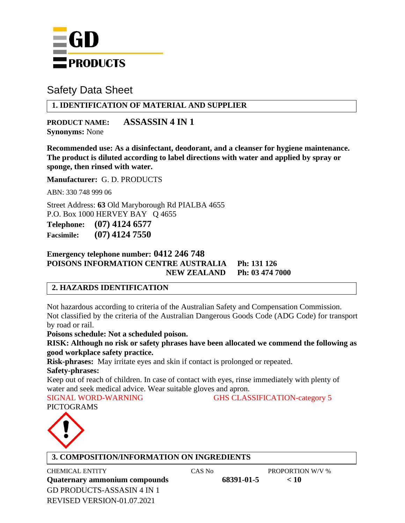

## **1. IDENTIFICATION OF MATERIAL AND SUPPLIER**

**PRODUCT NAME: ASSASSIN 4 IN 1 Synonyms:** None

**Recommended use: As a disinfectant, deodorant, and a cleanser for hygiene maintenance. The product is diluted according to label directions with water and applied by spray or sponge, then rinsed with water.**

**Manufacturer:** G. D. PRODUCTS

ABN: 330 748 999 06

Street Address: **63** Old Maryborough Rd PIALBA 4655 P.O. Box 1000 HERVEY BAY Q 4655 **Telephone: (07) 4124 6577** 

**Facsimile: (07) 4124 7550**

### **Emergency telephone number: 0412 246 748 POISONS INFORMATION CENTRE AUSTRALIA Ph: 131 126 NEW ZEALAND Ph: 03 474 7000**

### **2. HAZARDS IDENTIFICATION**

Not hazardous according to criteria of the Australian Safety and Compensation Commission. Not classified by the criteria of the Australian Dangerous Goods Code (ADG Code) for transport by road or rail.

**Poisons schedule: Not a scheduled poison.**

**RISK: Although no risk or safety phrases have been allocated we commend the following as good workplace safety practice.**

**Risk-phrases:** May irritate eyes and skin if contact is prolonged or repeated.

#### **Safety-phrases:**

Keep out of reach of children. In case of contact with eyes, rinse immediately with plenty of water and seek medical advice. Wear suitable gloves and apron.

SIGNAL WORD-WARNING GHS CLASSIFICATION-category 5 PICTOGRAMS



### **3. COMPOSITION/INFORMATION ON INGREDIENTS**

GD PRODUCTS-ASSASIN 4 IN 1 REVISED VERSION-01.07.2021 CHEMICAL ENTITY CAS No PROPORTION W/V % **Quaternary ammonium compounds 68391-01-5 < 10**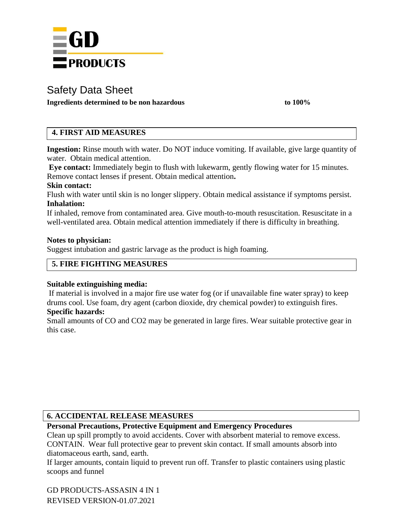

**Ingredients determined to be non hazardous to 100%**

## **4. FIRST AID MEASURES**

**Ingestion:** Rinse mouth with water. Do NOT induce vomiting. If available, give large quantity of water. Obtain medical attention.

**Eye contact:** Immediately begin to flush with lukewarm, gently flowing water for 15 minutes. Remove contact lenses if present. Obtain medical attention**.**

#### **Skin contact:**

Flush with water until skin is no longer slippery. Obtain medical assistance if symptoms persist. **Inhalation:**

If inhaled, remove from contaminated area. Give mouth-to-mouth resuscitation. Resuscitate in a well-ventilated area. Obtain medical attention immediately if there is difficulty in breathing.

#### **Notes to physician:**

Suggest intubation and gastric larvage as the product is high foaming.

## **5. FIRE FIGHTING MEASURES**

### **Suitable extinguishing media:**

If material is involved in a major fire use water fog (or if unavailable fine water spray) to keep drums cool. Use foam, dry agent (carbon dioxide, dry chemical powder) to extinguish fires. **Specific hazards:**

Small amounts of CO and CO2 may be generated in large fires. Wear suitable protective gear in this case.

### **6. ACCIDENTAL RELEASE MEASURES**

## **Personal Precautions, Protective Equipment and Emergency Procedures**

Clean up spill promptly to avoid accidents. Cover with absorbent material to remove excess. CONTAIN. Wear full protective gear to prevent skin contact. If small amounts absorb into diatomaceous earth, sand, earth.

If larger amounts, contain liquid to prevent run off. Transfer to plastic containers using plastic scoops and funnel

GD PRODUCTS-ASSASIN 4 IN 1 REVISED VERSION-01.07.2021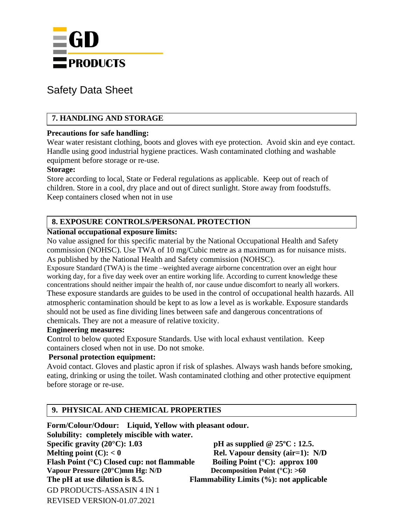

## **7. HANDLING AND STORAGE**

#### **Precautions for safe handling:**

Wear water resistant clothing, boots and gloves with eye protection. Avoid skin and eye contact. Handle using good industrial hygiene practices. Wash contaminated clothing and washable equipment before storage or re-use.

#### **Storage:**

Store according to local, State or Federal regulations as applicable. Keep out of reach of children. Store in a cool, dry place and out of direct sunlight. Store away from foodstuffs. Keep containers closed when not in use

### **8. EXPOSURE CONTROLS/PERSONAL PROTECTION**

#### **National occupational exposure limits:**

No value assigned for this specific material by the National Occupational Health and Safety commission (NOHSC). Use TWA of 10 mg/Cubic metre as a maximum as for nuisance mists. As published by the National Health and Safety commission (NOHSC).

Exposure Standard (TWA) is the time –weighted average airborne concentration over an eight hour working day, for a five day week over an entire working life. According to current knowledge these concentrations should neither impair the health of, nor cause undue discomfort to nearly all workers. These exposure standards are guides to be used in the control of occupational health hazards. All atmospheric contamination should be kept to as low a level as is workable. Exposure standards should not be used as fine dividing lines between safe and dangerous concentrations of chemicals. They are not a measure of relative toxicity.

#### **Engineering measures:**

Control to below quoted Exposure Standards. Use with local exhaust ventilation. Keep containers closed when not in use. Do not smoke.

### **Personal protection equipment:**

Avoid contact. Gloves and plastic apron if risk of splashes. Always wash hands before smoking, eating, drinking or using the toilet. Wash contaminated clothing and other protective equipment before storage or re-use.

### **9. PHYSICAL AND CHEMICAL PROPERTIES**

GD PRODUCTS-ASSASIN 4 IN 1 REVISED VERSION-01.07.2021 **Form/Colour/Odour: Liquid, Yellow with pleasant odour. Solubility: completely miscible with water. Specific gravity (20°C): 1.03 pH as supplied @ 25ºC : 12.5. Melting point (C):**  $< 0$  **Rel. Vapour density (air=1):** N/D **Flash Point (°C) Closed cup: not flammable** Boiling Point (°C): approx 100<br>Vapour Pressure (20°C)mm Hg: N/D Decomposition Point (°C): >60 **Vapour Pressure (20°C)mm Hg: N/D The pH at use dilution is 8.5. Flammability Limits (%): not applicable**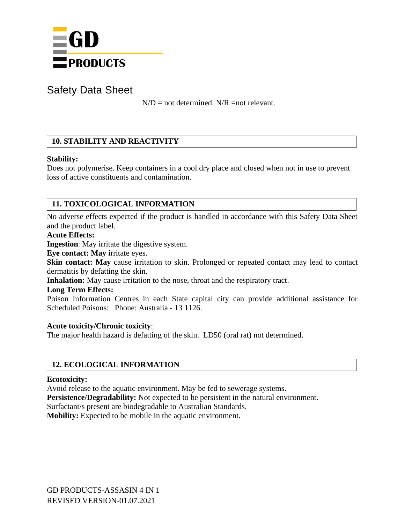

 $N/D$  = not determined.  $N/R$  =not relevant.

## **10. STABILITY AND REACTIVITY**

### **Stability:**

Does not polymerise. Keep containers in a cool dry place and closed when not in use to prevent loss of active constituents and contamination.

## **11. TOXICOLOGICAL INFORMATION**

No adverse effects expected if the product is handled in accordance with this Safety Data Sheet and the product label.

#### **Acute Effects:**

**Ingestion**: May irritate the digestive system.

**Eye contact: May i**rritate eyes.

**Skin contact: May** cause irritation to skin. Prolonged or repeated contact may lead to contact dermatitis by defatting the skin.

**Inhalation:** May cause irritation to the nose, throat and the respiratory tract.

#### **Long Term Effects:**

Poison Information Centres in each State capital city can provide additional assistance for Scheduled Poisons: Phone: Australia - 13 1126.

### **Acute toxicity/Chronic toxicity**:

The major health hazard is defatting of the skin. LD50 (oral rat) not determined.

## **12. ECOLOGICAL INFORMATION**

### **Ecotoxicity:**

Avoid release to the aquatic environment. May be fed to sewerage systems.

**Persistence/Degradability:** Not expected to be persistent in the natural environment.

Surfactant/s present are biodegradable to Australian Standards.

**Mobility:** Expected to be mobile in the aquatic environment.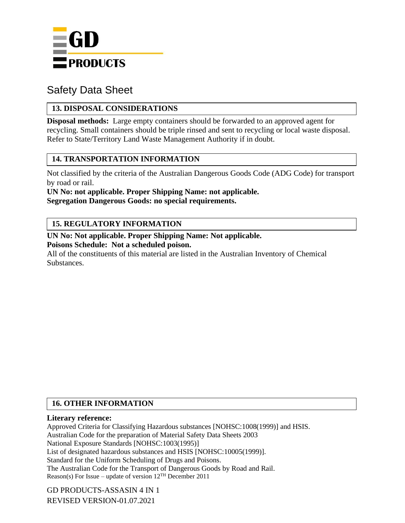

## **13. DISPOSAL CONSIDERATIONS**

**Disposal methods:** Large empty containers should be forwarded to an approved agent for recycling. Small containers should be triple rinsed and sent to recycling or local waste disposal. Refer to State/Territory Land Waste Management Authority if in doubt.

### **14. TRANSPORTATION INFORMATION**

Not classified by the criteria of the Australian Dangerous Goods Code (ADG Code) for transport by road or rail.

**UN No: not applicable. Proper Shipping Name: not applicable. Segregation Dangerous Goods: no special requirements.**

## **15. REGULATORY INFORMATION**

**UN No: Not applicable. Proper Shipping Name: Not applicable. Poisons Schedule: Not a scheduled poison.**

All of the constituents of this material are listed in the Australian Inventory of Chemical Substances.

## **16. OTHER INFORMATION**

#### **Literary reference:**

Approved Criteria for Classifying Hazardous substances [NOHSC:1008(1999)] and HSIS. Australian Code for the preparation of Material Safety Data Sheets 2003 National Exposure Standards [NOHSC:1003(1995)] List of designated hazardous substances and HSIS [NOHSC:10005(1999)]. Standard for the Uniform Scheduling of Drugs and Poisons. The Australian Code for the Transport of Dangerous Goods by Road and Rail. Reason(s) For Issue – update of version  $12^{TH}$  December 2011

GD PRODUCTS-ASSASIN 4 IN 1 REVISED VERSION-01.07.2021